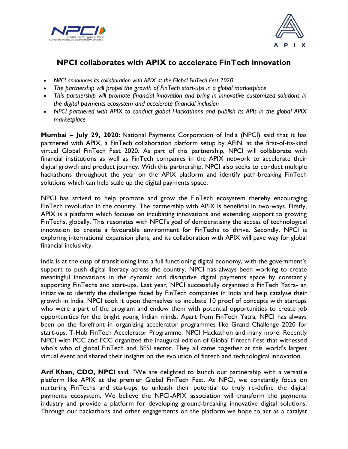



## **NPCI collaborates with APIX to accelerate FinTech innovation**

- *NPCI announces its collaboration with APIX at the Global FinTech Fest 2020*
- *The partnership will propel the growth of FinTech start-ups in a global marketplace*
- *This partnership will promote financial innovation and bring in innovative customized solutions in the digital payments ecosystem and accelerate financial inclusion*
- *NPCI partnered with APIX to conduct global Hackathons and publish its APIs in the global APIX marketplace*

**Mumbai – July 29, 2020:** National Payments Corporation of India (NPCI) said that it has partnered with APIX, a FinTech collaboration platform setup by AFIN, at the first-of-its-kind virtual Global FinTech Fest 2020. As part of this partnership, NPCI will collaborate with financial institutions as well as FinTech companies in the APIX network to accelerate their digital growth and product journey. With this partnership, NPCI also seeks to conduct multiple hackathons throughout the year on the APIX platform and identify path-breaking FinTech solutions which can help scale up the digital payments space.

NPCI has strived to help promote and grow the FinTech ecosystem thereby encouraging FinTech revolution in the country. The partnership with APIX is beneficial in two-ways. Firstly, APIX is a platform which focuses on incubating innovations and extending support to growing FinTechs, globally. This resonates with NPCI's goal of democratising the access of technological innovation to create a favourable environment for FinTechs to thrive. Secondly, NPCI is exploring international expansion plans, and its collaboration with APIX will pave way for global financial inclusivity.

India is at the cusp of transitioning into a full functioning digital economy, with the government's support to push digital literacy across the country. NPCI has always been working to create meaningful innovations in the dynamic and disruptive digital payments space by constantly supporting FinTechs and start-ups. Last year, NPCI successfully organized a FinTech Yatra- an initiative to identify the challenges faced by FinTech companies in India and help catalyse their growth in India. NPCI took it upon themselves to incubate 10 proof of concepts with startups who were a part of the program and endow them with potential opportunities to create job opportunities for the bright young Indian minds. Apart from FinTech Yatra, NPCI has always been on the forefront in organizing accelerator programmes like Grand Challenge 2020 for start-ups, T-Hub FinTech Accelerator Programme, NPCI Hackathon and many more. Recently NPCI with PCC and FCC organized the inaugural edition of Global Fintech Fest that witnessed who's who of global FinTech and BFSI sector. They all came together at this world's largest virtual event and shared their insights on the evolution of fintech and technological innovation.

**Arif Khan, CDO, NPCI** said, "We are delighted to launch our partnership with a versatile platform like APIX at the premier Global FinTech Fest. At NPCI, we constantly focus on nurturing FinTechs and start-ups to unleash their potential to truly re-define the digital payments ecosystem. We believe the NPCI-APIX association will transform the payments industry and provide a platform for developing ground-breaking innovative digital solutions. Through our hackathons and other engagements on the platform we hope to act as a catalyst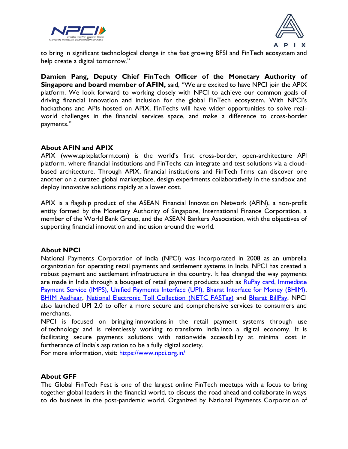



to bring in significant technological change in the fast growing BFSI and FinTech ecosystem and help create a digital tomorrow."

**Damien Pang, Deputy Chief FinTech Officer of the Monetary Authority of Singapore and board member of AFIN, said, "We are excited to have NPCI join the APIX** platform. We look forward to working closely with NPCI to achieve our common goals of driving financial innovation and inclusion for the global FinTech ecosystem. With NPCI's hackathons and APIs hosted on APIX, FinTechs will have wider opportunities to solve realworld challenges in the financial services space, and make a difference to cross-border payments."

## **About AFIN and APIX**

APIX (www.apixplatform.com) is the world's first cross-border, open-architecture API platform, where financial institutions and FinTechs can integrate and test solutions via a cloudbased architecture. Through APIX, financial institutions and FinTech firms can discover one another on a curated global marketplace, design experiments collaboratively in the sandbox and deploy innovative solutions rapidly at a lower cost.

APIX is a flagship product of the ASEAN Financial Innovation Network (AFIN), a non-profit entity formed by the Monetary Authority of Singapore, International Finance Corporation, a member of the World Bank Group, and the ASEAN Bankers Association, with the objectives of supporting financial innovation and inclusion around the world.

## **About NPCI**

National Payments Corporation of India (NPCI) was incorporated in 2008 as an umbrella organization for operating retail payments and settlement systems in India. NPCI has created a robust payment and settlement infrastructure in the country. It has changed the way payments are made in India through a bouquet of retail payment products such as [RuPay card,](https://urldefense.proofpoint.com/v2/url?u=https-3A__www.npci.org.in_product-2Doverview_rupay-2Dproduct-2Doverview&d=DwMGaQ&c=euGZstcaTDllvimEN8b7jXrwqOf-v5A_CdpgnVfiiMM&r=P2MbgmoUOq75b8lClzH_W_sj6ppQ5e2aA684qFhnpjw&m=Q5Nwpv3ruJ3Vyx-82NtgHRuBtAgp2Y0PFm7tnj06rC8&s=mBxefwRLBdVILiuZemu141PL-Q9_81xKHSRqcB2EYVY&e=) Immediate [Payment Service \(IMPS\),](https://urldefense.proofpoint.com/v2/url?u=https-3A__www.npci.org.in_product-2Doverview_imps-2Dproduct-2Doverview&d=DwMGaQ&c=euGZstcaTDllvimEN8b7jXrwqOf-v5A_CdpgnVfiiMM&r=P2MbgmoUOq75b8lClzH_W_sj6ppQ5e2aA684qFhnpjw&m=Q5Nwpv3ruJ3Vyx-82NtgHRuBtAgp2Y0PFm7tnj06rC8&s=L2WvGN0miLLHD_KesGBxBfMFs8nsUiQaz5ExuOxr_xs&e=) [Unified Payments Interface \(UPI\),](https://urldefense.proofpoint.com/v2/url?u=https-3A__www.npci.org.in_product-2Doverview_upi-2Dproduct-2Doverview&d=DwMGaQ&c=euGZstcaTDllvimEN8b7jXrwqOf-v5A_CdpgnVfiiMM&r=P2MbgmoUOq75b8lClzH_W_sj6ppQ5e2aA684qFhnpjw&m=Q5Nwpv3ruJ3Vyx-82NtgHRuBtAgp2Y0PFm7tnj06rC8&s=g_9nLK-IalVawaEWoyaKj4HopV2p8nkS3HWS7Cu2wlE&e=) [Bharat Interface for Money \(BHIM\),](https://urldefense.proofpoint.com/v2/url?u=https-3A__www.npci.org.in_product-2Doverview_bhim-2Dproduct-2Doverview&d=DwMGaQ&c=euGZstcaTDllvimEN8b7jXrwqOf-v5A_CdpgnVfiiMM&r=P2MbgmoUOq75b8lClzH_W_sj6ppQ5e2aA684qFhnpjw&m=Q5Nwpv3ruJ3Vyx-82NtgHRuBtAgp2Y0PFm7tnj06rC8&s=Bovogcb7cb7_V499DBTXDArt__agkP5ssdT4asjScUY&e=) [BHIM Aadhaar,](https://urldefense.proofpoint.com/v2/url?u=https-3A__www.npci.org.in_product-2Doverview_bhim-2Daadhaar&d=DwMGaQ&c=euGZstcaTDllvimEN8b7jXrwqOf-v5A_CdpgnVfiiMM&r=P2MbgmoUOq75b8lClzH_W_sj6ppQ5e2aA684qFhnpjw&m=Q5Nwpv3ruJ3Vyx-82NtgHRuBtAgp2Y0PFm7tnj06rC8&s=8GTnD5H5OQGEb7hZfRDlYNEOXrMAODT1WPg5zrOMl_I&e=) [National Electronic Toll Collection \(NETC FASTag\)](https://urldefense.proofpoint.com/v2/url?u=https-3A__www.npci.org.in_netc&d=DwMGaQ&c=euGZstcaTDllvimEN8b7jXrwqOf-v5A_CdpgnVfiiMM&r=P2MbgmoUOq75b8lClzH_W_sj6ppQ5e2aA684qFhnpjw&m=Q5Nwpv3ruJ3Vyx-82NtgHRuBtAgp2Y0PFm7tnj06rC8&s=oE1eIVuBVUsOV2oe2bVbv-m5VmiNj6KcgsYBzzVrALQ&e=) and [Bharat BillPay.](https://urldefense.proofpoint.com/v2/url?u=https-3A__www.npci.org.in_product-2Doverview_bharat-2Dbillpay-2Dproduct-2Doverview&d=DwMGaQ&c=euGZstcaTDllvimEN8b7jXrwqOf-v5A_CdpgnVfiiMM&r=P2MbgmoUOq75b8lClzH_W_sj6ppQ5e2aA684qFhnpjw&m=Q5Nwpv3ruJ3Vyx-82NtgHRuBtAgp2Y0PFm7tnj06rC8&s=IYrR-Il2XTeRxVb8WCgr6FwGjBeVtZZnQ2HhJ9HT6jI&e=) NPCI also launched UPI 2.0 to offer a more secure and comprehensive services to consumers and merchants.

NPCI is focused on bringing innovations in the retail payment systems through use of technology and is relentlessly working to transform India into a digital economy. It is facilitating secure payments solutions with nationwide accessibility at minimal cost in furtherance of India's aspiration to be a fully digital society.

For more information, visit: [https://www.npci.org.in/](https://urldefense.proofpoint.com/v2/url?u=https-3A__www.npci.org.in_&d=DwQGaQ&c=euGZstcaTDllvimEN8b7jXrwqOf-v5A_CdpgnVfiiMM&r=P2MbgmoUOq75b8lClzH_W_sj6ppQ5e2aA684qFhnpjw&m=Q5Nwpv3ruJ3Vyx-82NtgHRuBtAgp2Y0PFm7tnj06rC8&s=K49FlZVTgq64Rk9Bjx7aAfflvOKXcyTTgq2he1rD4zY&e=)

## **About GFF**

The Global FinTech Fest is one of the largest online FinTech meetups with a focus to bring together global leaders in the financial world, to discuss the road ahead and collaborate in ways to do business in the post-pandemic world. Organized by National Payments Corporation of